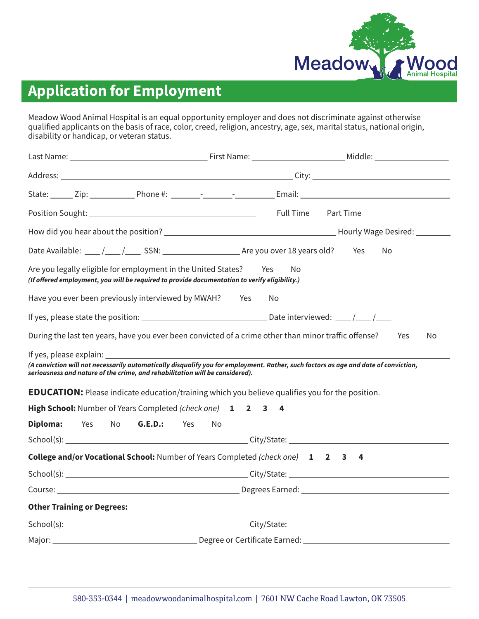

Meadow Wood Animal Hospital is an equal opportunity employer and does not discriminate against otherwise qualified applicants on the basis of race, color, creed, religion, ancestry, age, sex, marital status, national origin, disability or handicap, or veteran status.

|                                                                                                                                                                                                                                                                                                                               | <b>Full Time</b> | Part Time |
|-------------------------------------------------------------------------------------------------------------------------------------------------------------------------------------------------------------------------------------------------------------------------------------------------------------------------------|------------------|-----------|
|                                                                                                                                                                                                                                                                                                                               |                  |           |
|                                                                                                                                                                                                                                                                                                                               |                  | Yes<br>No |
| Are you legally eligible for employment in the United States?<br>(If offered employment, you will be required to provide documentation to verify eligibility.)                                                                                                                                                                | Yes<br>No        |           |
| Have you ever been previously interviewed by MWAH? Yes                                                                                                                                                                                                                                                                        | No.              |           |
|                                                                                                                                                                                                                                                                                                                               |                  |           |
| During the last ten years, have you ever been convicted of a crime other than minor traffic offense?                                                                                                                                                                                                                          |                  | Yes<br>No |
| (A conviction will not necessarily automatically disqualify you for employment. Rather, such factors as age and date of conviction,<br>seriousness and nature of the crime, and rehabilitation will be considered).<br><b>EDUCATION:</b> Please indicate education/training which you believe qualifies you for the position. |                  |           |
| High School: Number of Years Completed (check one) 1 2 3                                                                                                                                                                                                                                                                      | 4                |           |
| Diploma:<br><b>G.E.D.:</b> Yes<br>Yes No                                                                                                                                                                                                                                                                                      | No.              |           |
|                                                                                                                                                                                                                                                                                                                               |                  |           |
| <b>College and/or Vocational School:</b> Number of Years Completed (check one) 1 2 3                                                                                                                                                                                                                                          |                  | 4         |
|                                                                                                                                                                                                                                                                                                                               |                  |           |
|                                                                                                                                                                                                                                                                                                                               |                  |           |
| <b>Other Training or Degrees:</b>                                                                                                                                                                                                                                                                                             |                  |           |
|                                                                                                                                                                                                                                                                                                                               |                  |           |
|                                                                                                                                                                                                                                                                                                                               |                  |           |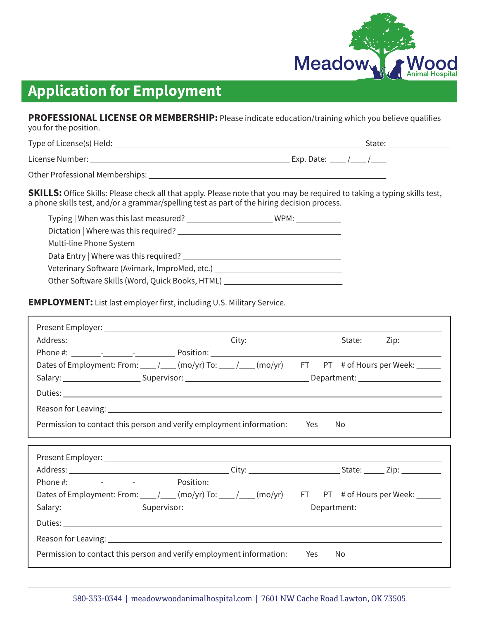

**PROFESSIONAL LICENSE OR MEMBERSHIP:** Please indicate education/training which you believe qualifies you for the position.

Type of License(s) Held: State:

License Number:  $\frac{1}{2}$  Exp. Date:  $\frac{1}{2}$  Exp. Date:  $\frac{1}{2}$  / $\frac{1}{2}$ 

Other Professional Memberships:

**SKILLS:** Office Skills: Please check all that apply. Please note that you may be required to taking a typing skills test, a phone skills test, and/or a grammar/spelling test as part of the hiring decision process.

| Typing   When was this last measured? _______   | WPM: |
|-------------------------------------------------|------|
| Dictation   Where was this required?            |      |
| Multi-line Phone System                         |      |
| Data Entry   Where was this required?           |      |
| Veterinary Software (Avimark, ImproMed, etc.) _ |      |
| Other Software Skills (Word, Quick Books, HTML) |      |
|                                                 |      |

**EMPLOYMENT:** List last employer first, including U.S. Military Service.

|                                                                      | Dates of Employment: From: ___ / ___ (mo/yr) To: ___ / ___ (mo/yr) FT PT # of Hours per Week: _____            |
|----------------------------------------------------------------------|----------------------------------------------------------------------------------------------------------------|
|                                                                      | Salary: _________________________Supervisor: ___________________________________Department: __________________ |
|                                                                      |                                                                                                                |
|                                                                      |                                                                                                                |
| Permission to contact this person and verify employment information: | Yes<br>No.                                                                                                     |
|                                                                      |                                                                                                                |
|                                                                      |                                                                                                                |
|                                                                      |                                                                                                                |
|                                                                      |                                                                                                                |
|                                                                      |                                                                                                                |
|                                                                      | Dates of Employment: From: ____ / ____ (mo/yr) To: ____ / ____ (mo/yr) FT PT # of Hours per Week: ______       |
|                                                                      |                                                                                                                |
|                                                                      |                                                                                                                |
|                                                                      |                                                                                                                |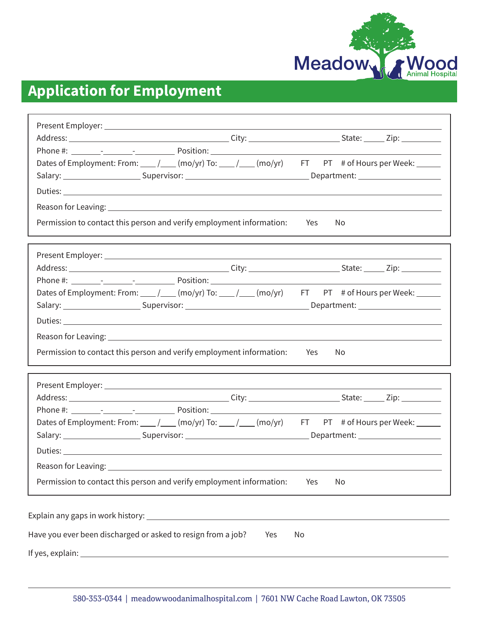

|                                                                      |     | Dates of Employment: From: ___ / ___ (mo/yr) To: ___ / ___ (mo/yr) FT PT # of Hours per Week: _____      |  |
|----------------------------------------------------------------------|-----|----------------------------------------------------------------------------------------------------------|--|
|                                                                      |     |                                                                                                          |  |
|                                                                      |     |                                                                                                          |  |
|                                                                      |     |                                                                                                          |  |
| Permission to contact this person and verify employment information: |     | Yes<br>No.                                                                                               |  |
|                                                                      |     |                                                                                                          |  |
|                                                                      |     |                                                                                                          |  |
|                                                                      |     |                                                                                                          |  |
|                                                                      |     | Dates of Employment: From: ____ / ____ (mo/yr) To: ____ / ____ (mo/yr) FT PT # of Hours per Week: ______ |  |
|                                                                      |     |                                                                                                          |  |
|                                                                      |     |                                                                                                          |  |
|                                                                      |     |                                                                                                          |  |
|                                                                      |     |                                                                                                          |  |
| Permission to contact this person and verify employment information: |     | Yes<br>No.                                                                                               |  |
|                                                                      |     |                                                                                                          |  |
|                                                                      |     |                                                                                                          |  |
|                                                                      |     |                                                                                                          |  |
|                                                                      |     | Dates of Employment: From: ___ / ___ (mo/yr) To: ___ / ___ (mo/yr) FT PT # of Hours per Week: _____      |  |
|                                                                      |     |                                                                                                          |  |
|                                                                      |     |                                                                                                          |  |
| Reason for Leaving:                                                  |     |                                                                                                          |  |
| Permission to contact this person and verify employment information: |     | No<br>Yes                                                                                                |  |
|                                                                      |     |                                                                                                          |  |
|                                                                      |     |                                                                                                          |  |
|                                                                      |     |                                                                                                          |  |
| Have you ever been discharged or asked to resign from a job?         | Yes | No                                                                                                       |  |